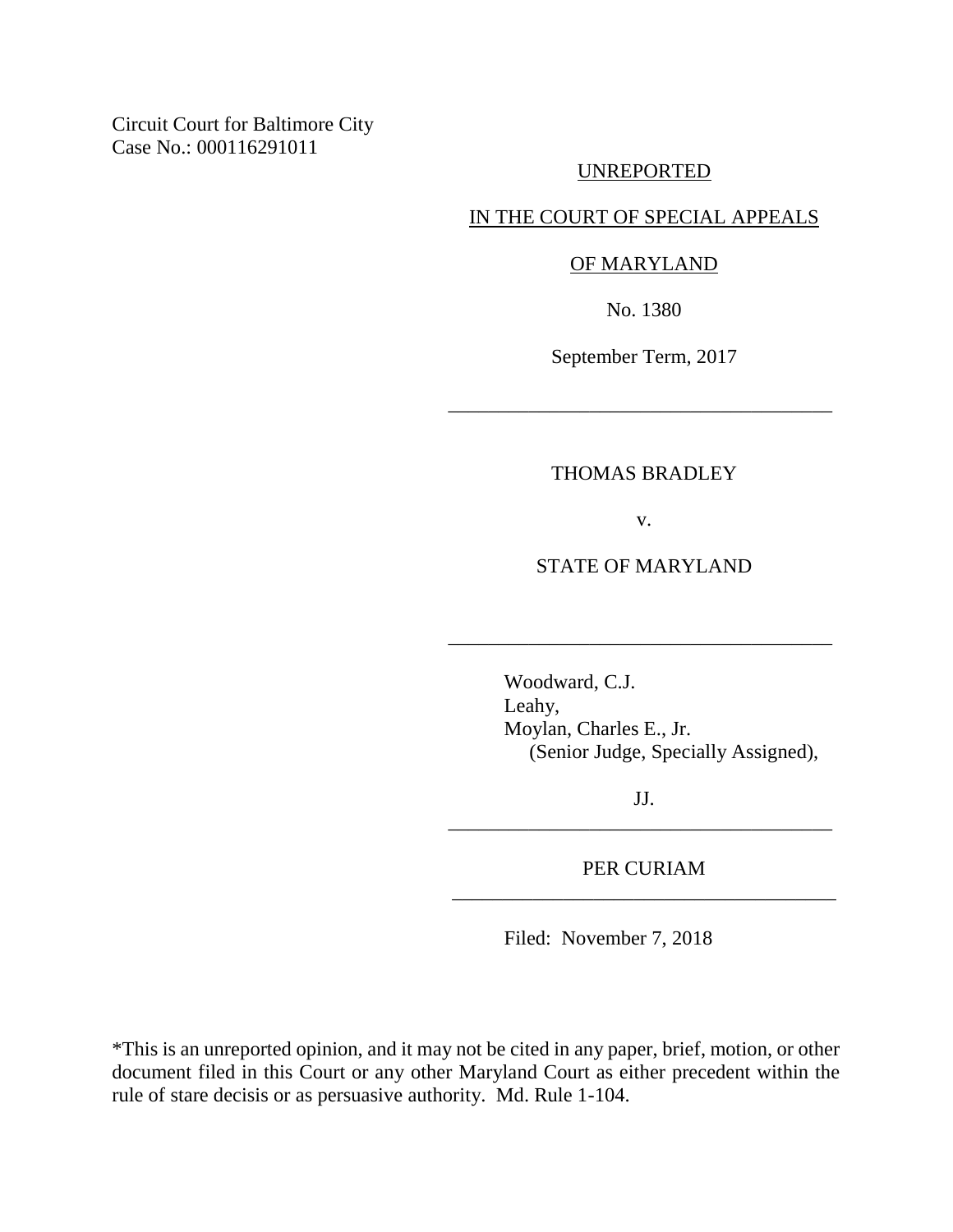Circuit Court for Baltimore City Case No.: 000116291011

### UNREPORTED

## IN THE COURT OF SPECIAL APPEALS

#### OF MARYLAND

No. 1380

September Term, 2017

\_\_\_\_\_\_\_\_\_\_\_\_\_\_\_\_\_\_\_\_\_\_\_\_\_\_\_\_\_\_\_\_\_\_\_\_\_\_

# THOMAS BRADLEY

v.

# STATE OF MARYLAND

\_\_\_\_\_\_\_\_\_\_\_\_\_\_\_\_\_\_\_\_\_\_\_\_\_\_\_\_\_\_\_\_\_\_\_\_\_\_

Woodward, C.J. Leahy, Moylan, Charles E., Jr. (Senior Judge, Specially Assigned),

JJ. \_\_\_\_\_\_\_\_\_\_\_\_\_\_\_\_\_\_\_\_\_\_\_\_\_\_\_\_\_\_\_\_\_\_\_\_\_\_

PER CURIAM \_\_\_\_\_\_\_\_\_\_\_\_\_\_\_\_\_\_\_\_\_\_\_\_\_\_\_\_\_\_\_\_\_\_\_\_\_\_

Filed: November 7, 2018

\*This is an unreported opinion, and it may not be cited in any paper, brief, motion, or other document filed in this Court or any other Maryland Court as either precedent within the rule of stare decisis or as persuasive authority. Md. Rule 1-104.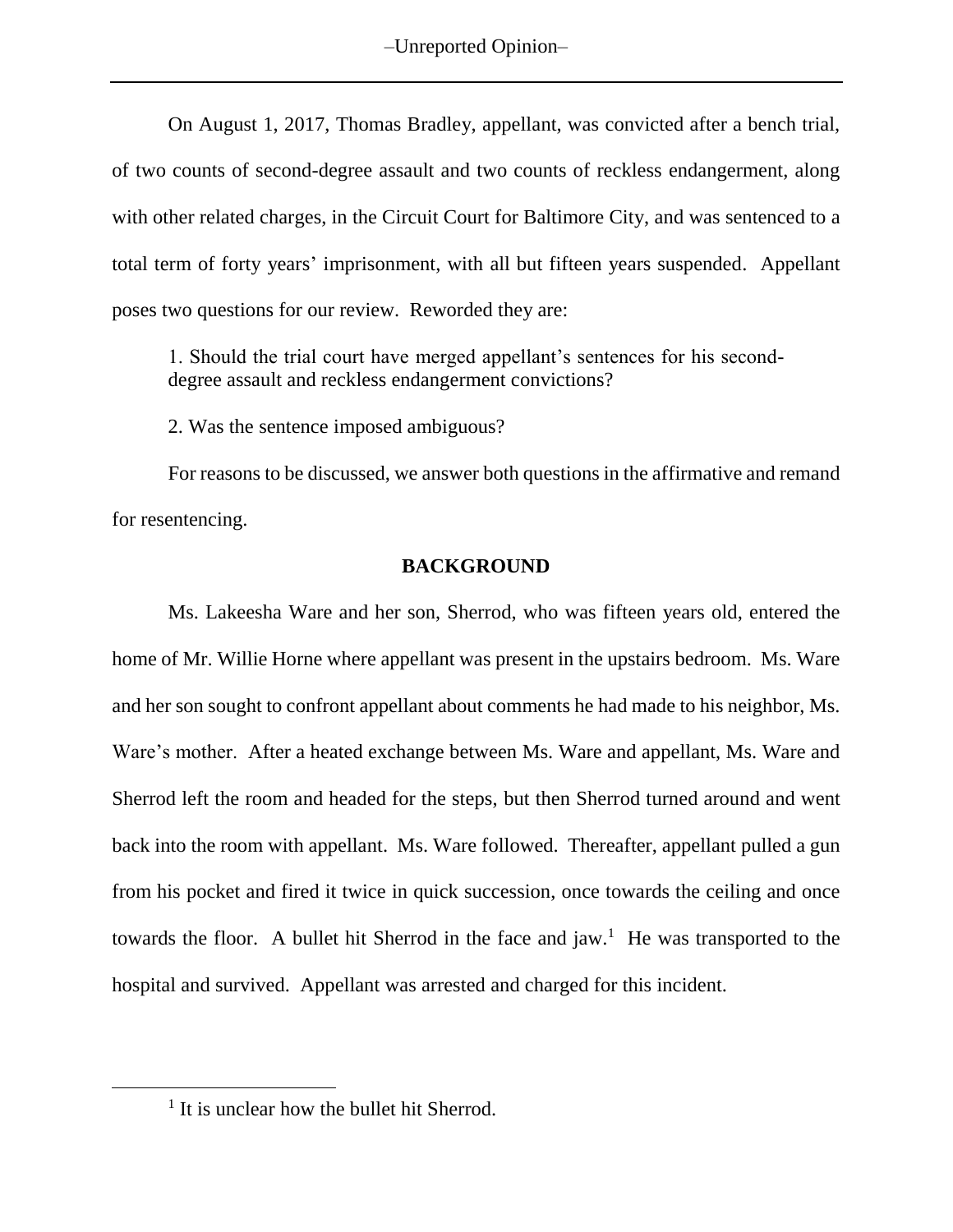–Unreported Opinion–

On August 1, 2017, Thomas Bradley, appellant, was convicted after a bench trial, of two counts of second-degree assault and two counts of reckless endangerment, along with other related charges, in the Circuit Court for Baltimore City, and was sentenced to a total term of forty years' imprisonment, with all but fifteen years suspended. Appellant poses two questions for our review. Reworded they are:

1. Should the trial court have merged appellant's sentences for his seconddegree assault and reckless endangerment convictions?

2. Was the sentence imposed ambiguous?

For reasons to be discussed, we answer both questions in the affirmative and remand for resentencing.

### **BACKGROUND**

Ms. Lakeesha Ware and her son, Sherrod, who was fifteen years old, entered the home of Mr. Willie Horne where appellant was present in the upstairs bedroom. Ms. Ware and her son sought to confront appellant about comments he had made to his neighbor, Ms. Ware's mother. After a heated exchange between Ms. Ware and appellant, Ms. Ware and Sherrod left the room and headed for the steps, but then Sherrod turned around and went back into the room with appellant. Ms. Ware followed. Thereafter, appellant pulled a gun from his pocket and fired it twice in quick succession, once towards the ceiling and once towards the floor. A bullet hit Sherrod in the face and  $jaw$ .<sup>1</sup> He was transported to the hospital and survived. Appellant was arrested and charged for this incident.

<sup>&</sup>lt;sup>1</sup> It is unclear how the bullet hit Sherrod.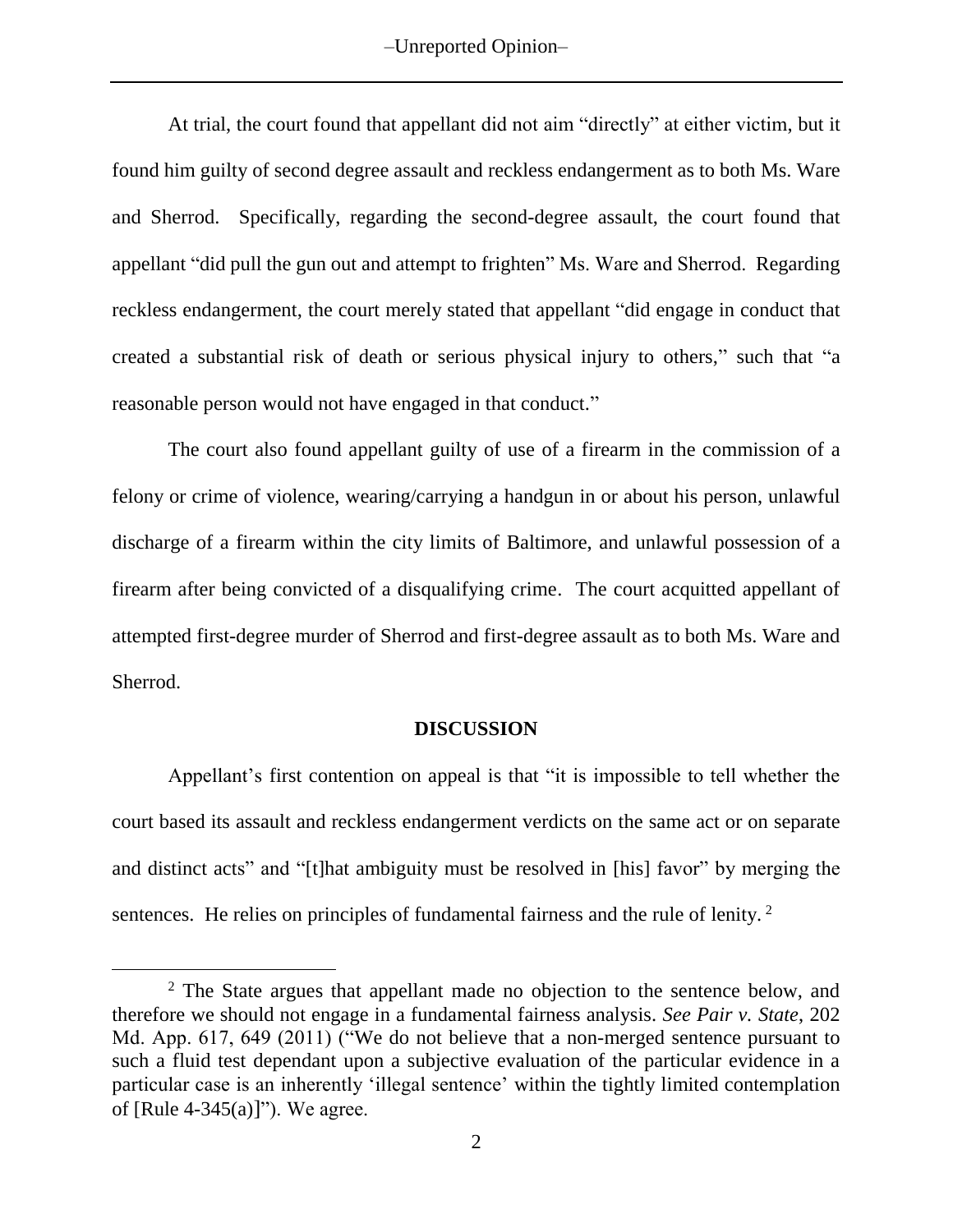–Unreported Opinion–

At trial, the court found that appellant did not aim "directly" at either victim, but it found him guilty of second degree assault and reckless endangerment as to both Ms. Ware and Sherrod. Specifically, regarding the second-degree assault, the court found that appellant "did pull the gun out and attempt to frighten" Ms. Ware and Sherrod. Regarding reckless endangerment, the court merely stated that appellant "did engage in conduct that created a substantial risk of death or serious physical injury to others," such that "a reasonable person would not have engaged in that conduct."

The court also found appellant guilty of use of a firearm in the commission of a felony or crime of violence, wearing/carrying a handgun in or about his person, unlawful discharge of a firearm within the city limits of Baltimore, and unlawful possession of a firearm after being convicted of a disqualifying crime. The court acquitted appellant of attempted first-degree murder of Sherrod and first-degree assault as to both Ms. Ware and Sherrod.

### **DISCUSSION**

Appellant's first contention on appeal is that "it is impossible to tell whether the court based its assault and reckless endangerment verdicts on the same act or on separate and distinct acts" and "[t]hat ambiguity must be resolved in [his] favor" by merging the sentences. He relies on principles of fundamental fairness and the rule of lenity.<sup>2</sup>

<sup>&</sup>lt;sup>2</sup> The State argues that appellant made no objection to the sentence below, and therefore we should not engage in a fundamental fairness analysis. *See Pair v. State*, 202 Md. App. 617, 649 (2011) ("We do not believe that a non-merged sentence pursuant to such a fluid test dependant upon a subjective evaluation of the particular evidence in a particular case is an inherently 'illegal sentence' within the tightly limited contemplation of [Rule  $4-345(a)$ ]"). We agree.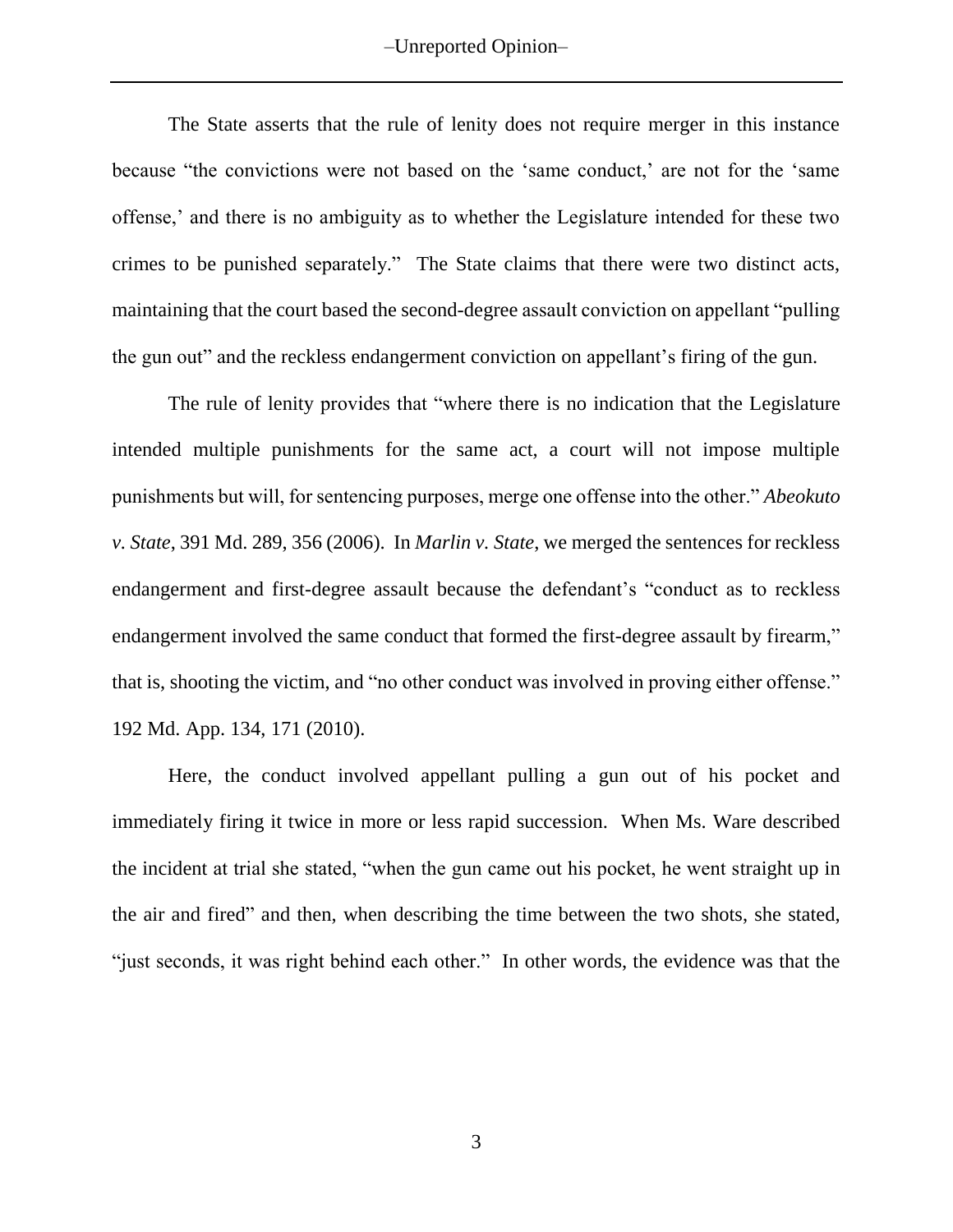–Unreported Opinion–

The State asserts that the rule of lenity does not require merger in this instance because "the convictions were not based on the 'same conduct,' are not for the 'same offense,' and there is no ambiguity as to whether the Legislature intended for these two crimes to be punished separately." The State claims that there were two distinct acts, maintaining that the court based the second-degree assault conviction on appellant "pulling the gun out" and the reckless endangerment conviction on appellant's firing of the gun.

The rule of lenity provides that "where there is no indication that the Legislature intended multiple punishments for the same act, a court will not impose multiple punishments but will, for sentencing purposes, merge one offense into the other." *Abeokuto v. State*, 391 Md. 289, 356 (2006). In *Marlin v. State*, we merged the sentences for reckless endangerment and first-degree assault because the defendant's "conduct as to reckless endangerment involved the same conduct that formed the first-degree assault by firearm," that is, shooting the victim, and "no other conduct was involved in proving either offense." 192 Md. App. 134, 171 (2010).

Here, the conduct involved appellant pulling a gun out of his pocket and immediately firing it twice in more or less rapid succession. When Ms. Ware described the incident at trial she stated, "when the gun came out his pocket, he went straight up in the air and fired" and then, when describing the time between the two shots, she stated, "just seconds, it was right behind each other." In other words, the evidence was that the

3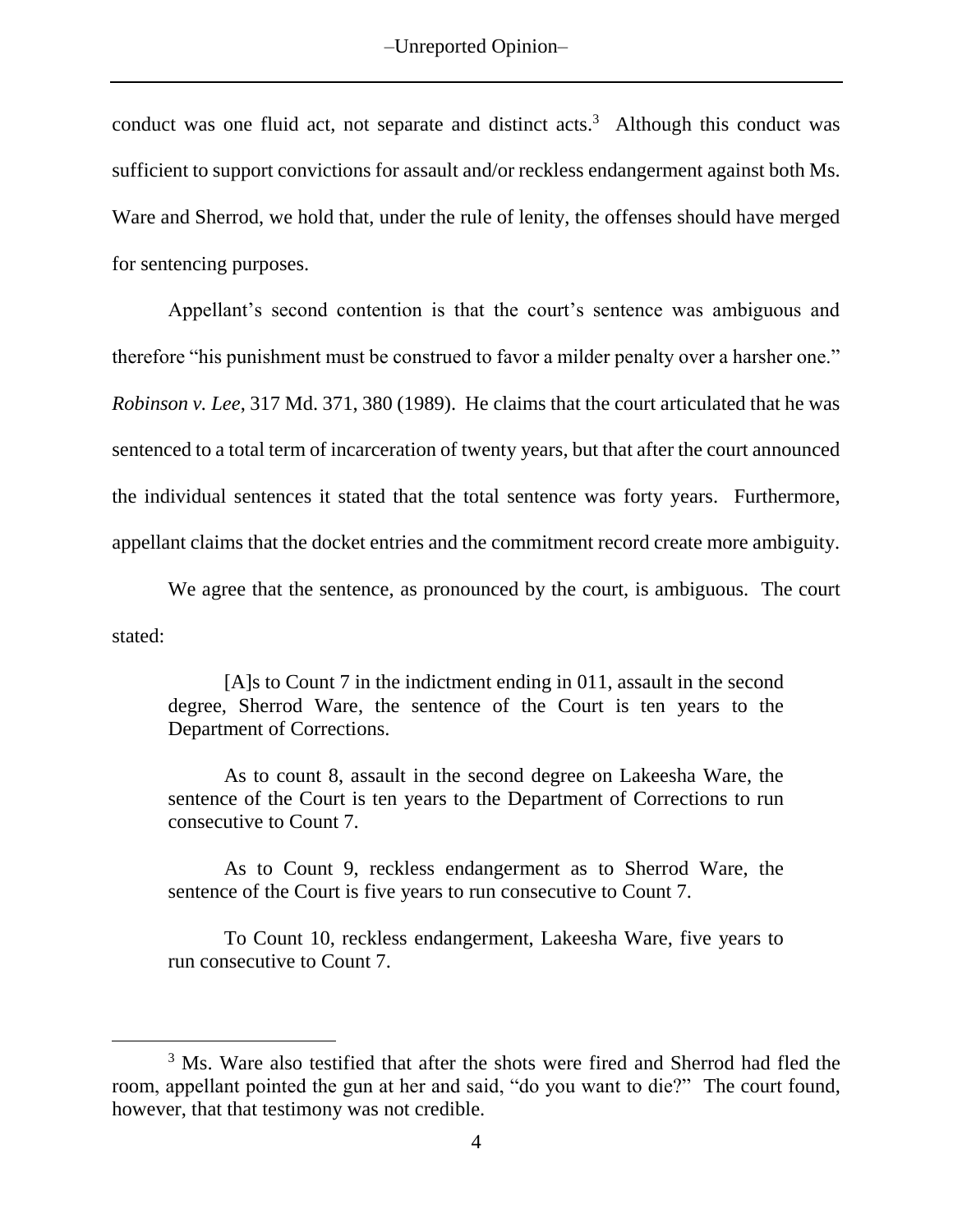conduct was one fluid act, not separate and distinct acts. <sup>3</sup> Although this conduct was sufficient to support convictions for assault and/or reckless endangerment against both Ms. Ware and Sherrod, we hold that, under the rule of lenity, the offenses should have merged for sentencing purposes.

Appellant's second contention is that the court's sentence was ambiguous and therefore "his punishment must be construed to favor a milder penalty over a harsher one." *Robinson v. Lee*, 317 Md. 371, 380 (1989). He claims that the court articulated that he was sentenced to a total term of incarceration of twenty years, but that after the court announced the individual sentences it stated that the total sentence was forty years. Furthermore, appellant claims that the docket entries and the commitment record create more ambiguity.

We agree that the sentence, as pronounced by the court, is ambiguous. The court stated:

[A]s to Count 7 in the indictment ending in 011, assault in the second degree, Sherrod Ware, the sentence of the Court is ten years to the Department of Corrections.

As to count 8, assault in the second degree on Lakeesha Ware, the sentence of the Court is ten years to the Department of Corrections to run consecutive to Count 7.

As to Count 9, reckless endangerment as to Sherrod Ware, the sentence of the Court is five years to run consecutive to Count 7.

To Count 10, reckless endangerment, Lakeesha Ware, five years to run consecutive to Count 7.

<sup>&</sup>lt;sup>3</sup> Ms. Ware also testified that after the shots were fired and Sherrod had fled the room, appellant pointed the gun at her and said, "do you want to die?" The court found, however, that that testimony was not credible.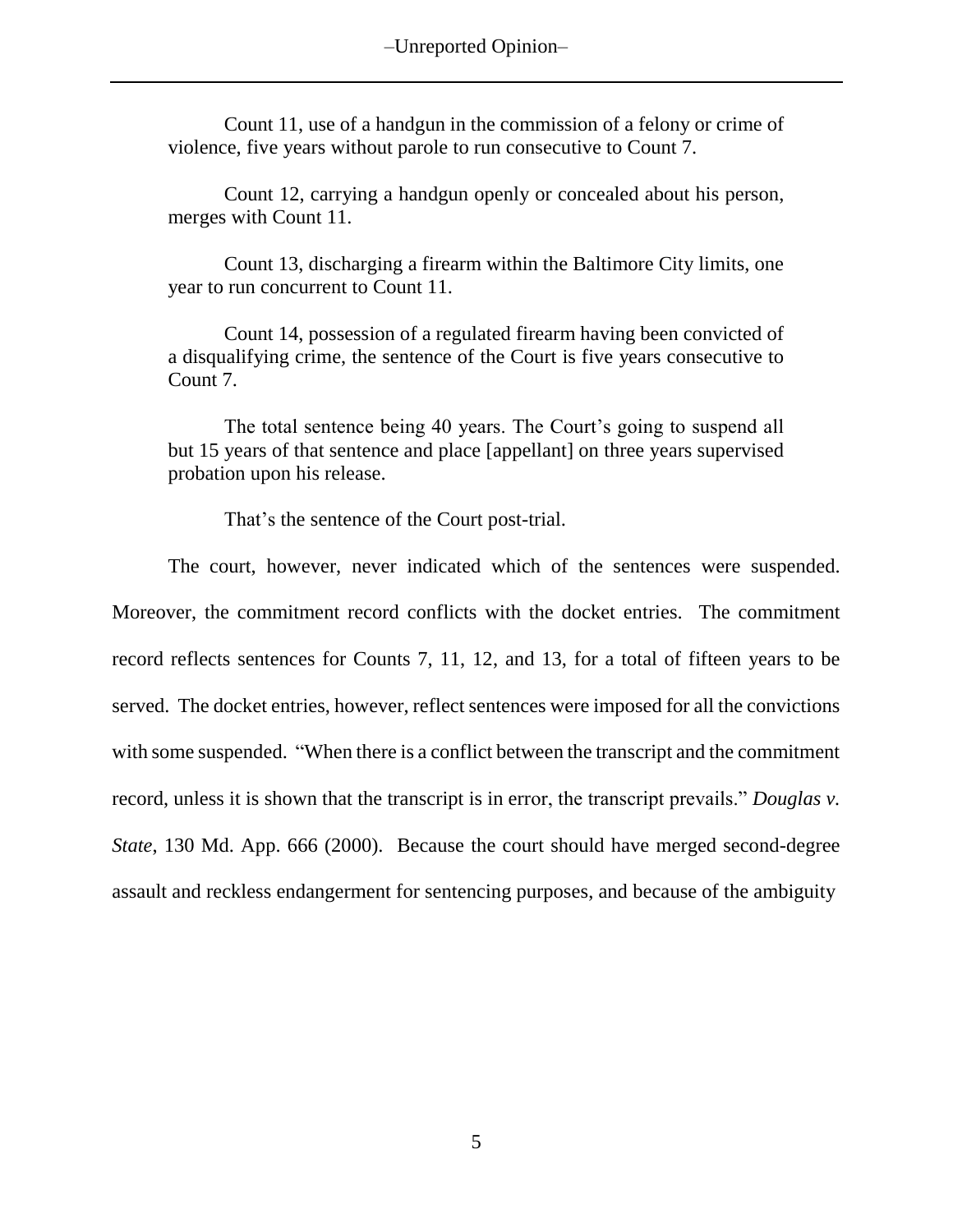Count 11, use of a handgun in the commission of a felony or crime of violence, five years without parole to run consecutive to Count 7.

Count 12, carrying a handgun openly or concealed about his person, merges with Count 11.

Count 13, discharging a firearm within the Baltimore City limits, one year to run concurrent to Count 11.

Count 14, possession of a regulated firearm having been convicted of a disqualifying crime, the sentence of the Court is five years consecutive to Count 7.

The total sentence being 40 years. The Court's going to suspend all but 15 years of that sentence and place [appellant] on three years supervised probation upon his release.

That's the sentence of the Court post-trial.

The court, however, never indicated which of the sentences were suspended. Moreover, the commitment record conflicts with the docket entries. The commitment record reflects sentences for Counts 7, 11, 12, and 13, for a total of fifteen years to be served. The docket entries, however, reflect sentences were imposed for all the convictions with some suspended. "When there is a conflict between the transcript and the commitment record, unless it is shown that the transcript is in error, the transcript prevails." *Douglas v. State*, 130 Md. App. 666 (2000). Because the court should have merged second-degree assault and reckless endangerment for sentencing purposes, and because of the ambiguity